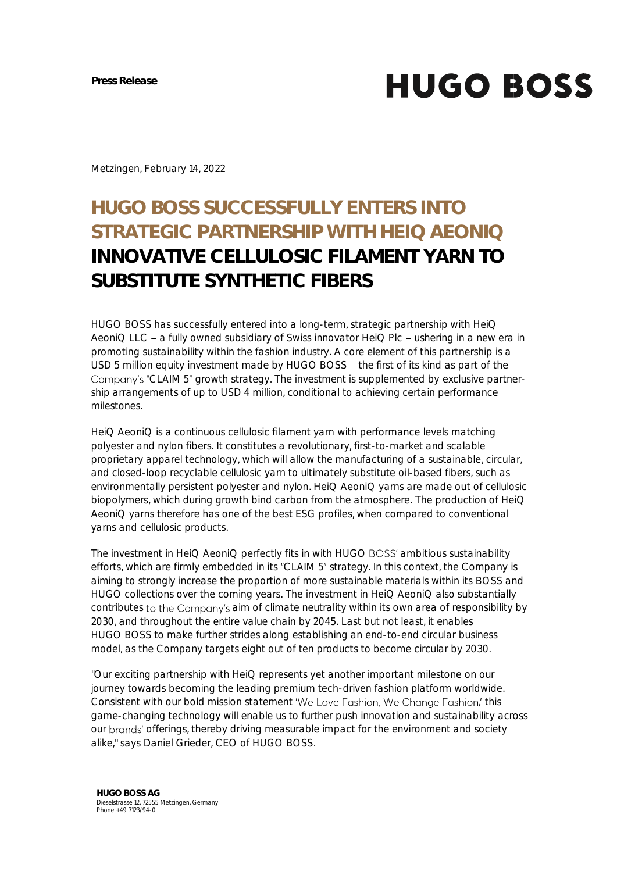**HUGO BOSS** 

Metzingen, February 14, 2022

## **HUGO BOSS SUCCESSFULLY ENTERS INTO STRATEGIC PARTNERSHIP WITH HEIQ AEONIQ INNOVATIVE CELLULOSIC FILAMENT YARN TO SUBSTITUTE SYNTHETIC FIBERS**

HUGO BOSS has successfully entered into a long-term, strategic partnership with HeiQ AeoniQ LLC - a fully owned subsidiary of Swiss innovator HeiQ Plc - ushering in a new era in promoting sustainability within the fashion industry. A core element of this partnership is a USD 5 million equity investment made by HUGO BOSS - the first of its kind as part of the Company's "CLAIM 5" growth strategy. The investment is supplemented by exclusive partnership arrangements of up to USD 4 million, conditional to achieving certain performance milestones.

HeiQ AeoniQ is a continuous cellulosic filament yarn with performance levels matching polyester and nylon fibers. It constitutes a revolutionary, first-to-market and scalable proprietary apparel technology, which will allow the manufacturing of a sustainable, circular, and closed-loop recyclable cellulosic yarn to ultimately substitute oil-based fibers, such as environmentally persistent polyester and nylon. HeiQ AeoniQ yarns are made out of cellulosic biopolymers, which during growth bind carbon from the atmosphere. The production of HeiQ AeoniQ yarns therefore has one of the best ESG profiles, when compared to conventional yarns and cellulosic products.

The investment in HeiQ AeoniQ perfectly fits in with HUGO BOSS' ambitious sustainability efforts, which are firmly embedded in its "CLAIM 5" strategy. In this context, the Company is aiming to strongly increase the proportion of more sustainable materials within its BOSS and HUGO collections over the coming years. The investment in HeiQ AeoniQ also substantially contributes to the Company's aim of climate neutrality within its own area of responsibility by 2030, and throughout the entire value chain by 2045. Last but not least, it enables HUGO BOSS to make further strides along establishing an end-to-end circular business model, as the Company targets eight out of ten products to become circular by 2030.

"Our exciting partnership with HeiQ represents yet another important milestone on our journey towards becoming the leading premium tech-driven fashion platform worldwide. Consistent with our bold mission statement 'We Love Fashion, We Change Fashion,' this game-changing technology will enable us to further push innovation and sustainability across our brands' offerings, thereby driving measurable impact for the environment and society alike," says Daniel Grieder, CEO of HUGO BOSS.